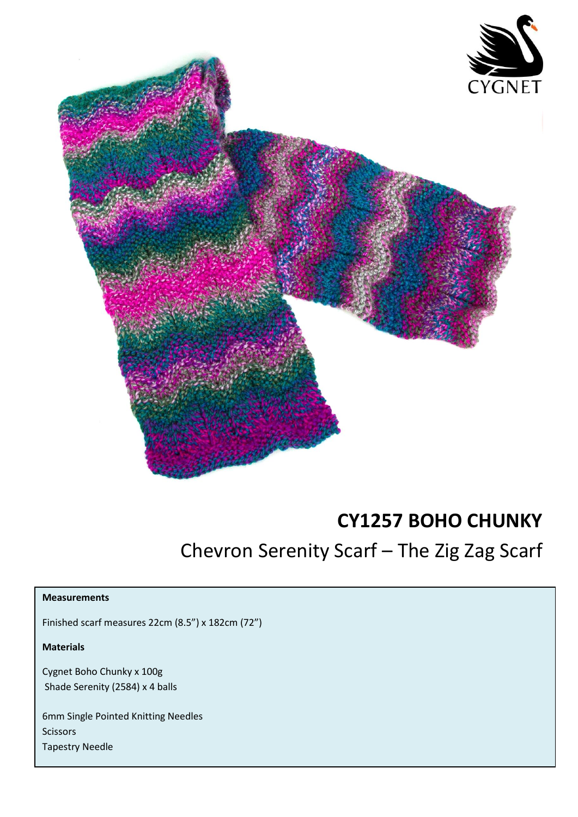

## **CY1257 BOHO CHUNKY**

## Chevron Serenity Scarf – The Zig Zag Scarf

## **Measurements**

Finished scarf measures 22cm (8.5") x 182cm (72")

**Materials**

Cygnet Boho Chunky x 100g Shade Serenity (2584) x 4 balls

6mm Single Pointed Knitting Needles **Scissors** Tapestry Needle